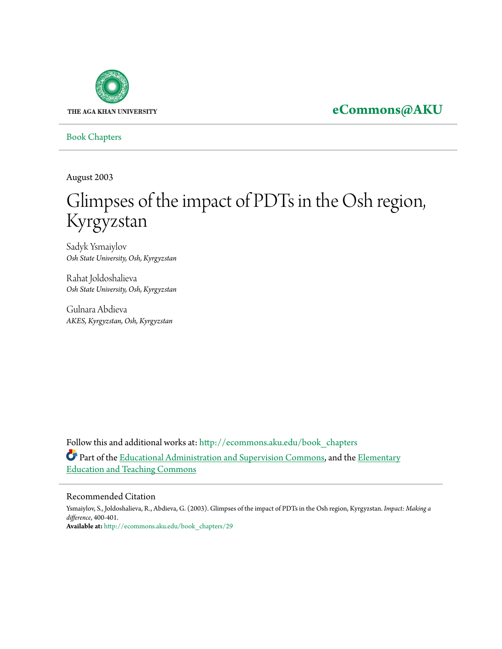

**[eCommons@AKU](http://ecommons.aku.edu?utm_source=ecommons.aku.edu%2Fbook_chapters%2F29&utm_medium=PDF&utm_campaign=PDFCoverPages)**

[Book Chapters](http://ecommons.aku.edu/book_chapters?utm_source=ecommons.aku.edu%2Fbook_chapters%2F29&utm_medium=PDF&utm_campaign=PDFCoverPages)

August 2003

## Glimpses of the impact of PDTs in the Osh region, Kyrgyzstan

Sadyk Ysmaiylov *Osh State University, Osh, Kyrgyzstan*

Rahat Joldoshalieva *Osh State University, Osh, Kyrgyzstan*

Gulnara Abdieva *AKES, Kyrgyzstan, Osh, Kyrgyzstan*

Follow this and additional works at: [http://ecommons.aku.edu/book\\_chapters](http://ecommons.aku.edu/book_chapters?utm_source=ecommons.aku.edu%2Fbook_chapters%2F29&utm_medium=PDF&utm_campaign=PDFCoverPages) Part of the [Educational Administration and Supervision Commons,](http://network.bepress.com/hgg/discipline/787?utm_source=ecommons.aku.edu%2Fbook_chapters%2F29&utm_medium=PDF&utm_campaign=PDFCoverPages) and the [Elementary](http://network.bepress.com/hgg/discipline/805?utm_source=ecommons.aku.edu%2Fbook_chapters%2F29&utm_medium=PDF&utm_campaign=PDFCoverPages) [Education and Teaching Commons](http://network.bepress.com/hgg/discipline/805?utm_source=ecommons.aku.edu%2Fbook_chapters%2F29&utm_medium=PDF&utm_campaign=PDFCoverPages)

## Recommended Citation

Ysmaiylov, S., Joldoshalieva, R., Abdieva, G. (2003). Glimpses of the impact of PDTs in the Osh region, Kyrgyzstan. *Impact: Making a difference*, 400-401. **Available at:** [http://ecommons.aku.edu/book\\_chapters/29](http://ecommons.aku.edu/book_chapters/29)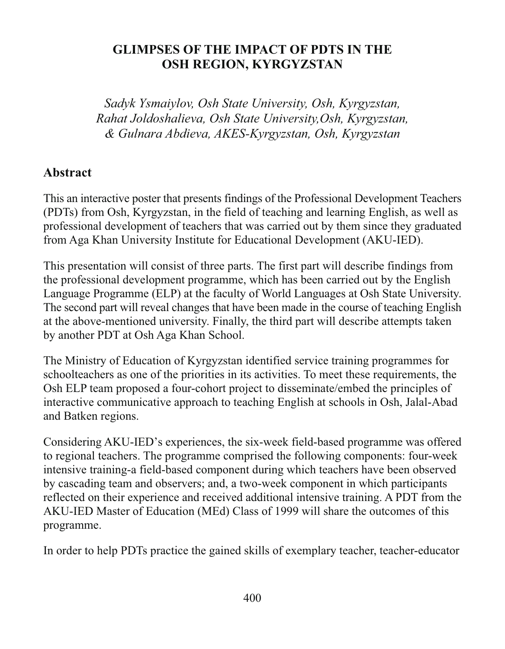## **GLIMPSES OF THE IMPACT OF PDTS IN THE** OSH REGION, KYRGYZSTAN

Sadyk Ysmaiylov, Osh State University, Osh, Kyrgyzstan, Rahat Joldoshalieva, Osh State University, Osh, Kyrgyzstan, & Gulnara Abdieva, AKES-Kyrgyzstan, Osh, Kyrgyzstan

## **Abstract**

This an interactive poster that presents findings of the Professional Development Teachers (PDTs) from Osh, Kyrgyzstan, in the field of teaching and learning English, as well as professional development of teachers that was carried out by them since they graduated from Aga Khan University Institute for Educational Development (AKU-IED).

This presentation will consist of three parts. The first part will describe findings from the professional development programme, which has been carried out by the English Language Programme (ELP) at the faculty of World Languages at Osh State University. The second part will reveal changes that have been made in the course of teaching English at the above-mentioned university. Finally, the third part will describe attempts taken by another PDT at Osh Aga Khan School.

The Ministry of Education of Kyrgyzstan identified service training programmes for schoolteachers as one of the priorities in its activities. To meet these requirements, the Osh ELP team proposed a four-cohort project to disseminate/embed the principles of interactive communicative approach to teaching English at schools in Osh, Jalal-Abad and Batken regions.

Considering AKU-IED's experiences, the six-week field-based programme was offered to regional teachers. The programme comprised the following components: four-week intensive training-a field-based component during which teachers have been observed by cascading team and observers; and, a two-week component in which participants reflected on their experience and received additional intensive training. A PDT from the AKU-IED Master of Education (MEd) Class of 1999 will share the outcomes of this programme.

In order to help PDTs practice the gained skills of exemplary teacher, teacher-educator